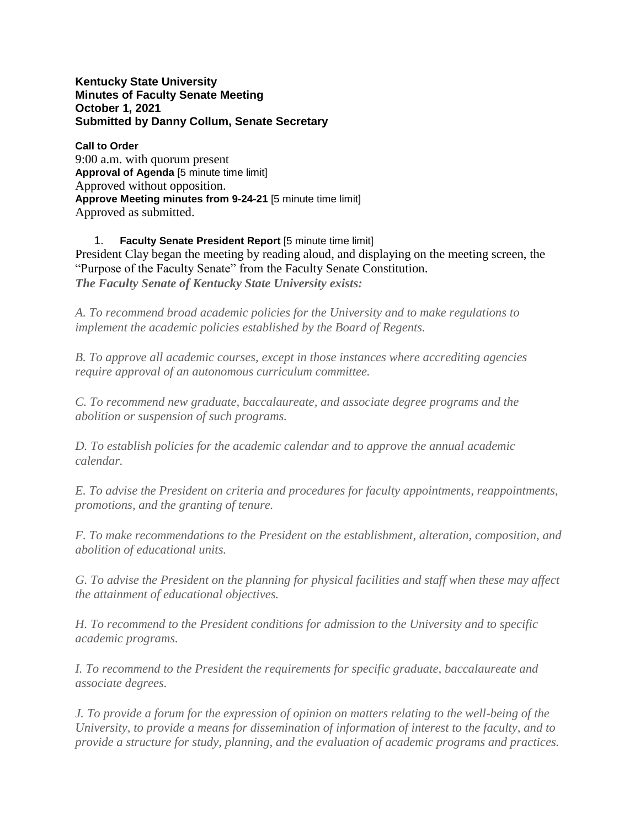**Kentucky State University Minutes of Faculty Senate Meeting October 1, 2021 Submitted by Danny Collum, Senate Secretary**

**Call to Order** 9:00 a.m. with quorum present **Approval of Agenda** [5 minute time limit] Approved without opposition. **Approve Meeting minutes from 9-24-21** [5 minute time limit] Approved as submitted.

1. **Faculty Senate President Report** [5 minute time limit] President Clay began the meeting by reading aloud, and displaying on the meeting screen, the "Purpose of the Faculty Senate" from the Faculty Senate Constitution. *The Faculty Senate of Kentucky State University exists:*

*A. To recommend broad academic policies for the University and to make regulations to implement the academic policies established by the Board of Regents.*

*B. To approve all academic courses, except in those instances where accrediting agencies require approval of an autonomous curriculum committee.*

*C. To recommend new graduate, baccalaureate, and associate degree programs and the abolition or suspension of such programs.*

*D. To establish policies for the academic calendar and to approve the annual academic calendar.*

*E. To advise the President on criteria and procedures for faculty appointments, reappointments, promotions, and the granting of tenure.*

*F. To make recommendations to the President on the establishment, alteration, composition, and abolition of educational units.*

*G. To advise the President on the planning for physical facilities and staff when these may affect the attainment of educational objectives.*

*H. To recommend to the President conditions for admission to the University and to specific academic programs.*

*I. To recommend to the President the requirements for specific graduate, baccalaureate and associate degrees.*

*J. To provide a forum for the expression of opinion on matters relating to the well-being of the University, to provide a means for dissemination of information of interest to the faculty, and to provide a structure for study, planning, and the evaluation of academic programs and practices.*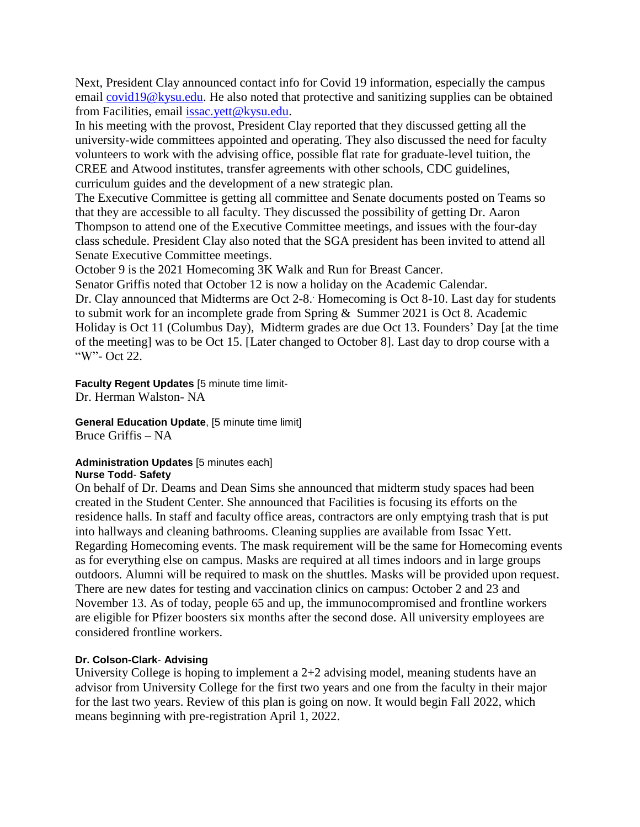Next, President Clay announced contact info for Covid 19 information, especially the campus email [covid19@kysu.edu.](mailto:covid19@kysu.edu) He also noted that protective and sanitizing supplies can be obtained from Facilities, email [issac.yett@kysu.edu.](mailto:issac.yett@kysu.edu)

In his meeting with the provost, President Clay reported that they discussed getting all the university-wide committees appointed and operating. They also discussed the need for faculty volunteers to work with the advising office, possible flat rate for graduate-level tuition, the CREE and Atwood institutes, transfer agreements with other schools, CDC guidelines, curriculum guides and the development of a new strategic plan.

The Executive Committee is getting all committee and Senate documents posted on Teams so that they are accessible to all faculty. They discussed the possibility of getting Dr. Aaron Thompson to attend one of the Executive Committee meetings, and issues with the four-day class schedule. President Clay also noted that the SGA president has been invited to attend all Senate Executive Committee meetings.

October 9 is the 2021 Homecoming 3K Walk and Run for Breast Cancer.

Senator Griffis noted that October 12 is now a holiday on the Academic Calendar.

Dr. Clay announced that Midterms are Oct 2-8. . Homecoming is Oct 8-10. Last day for students to submit work for an incomplete grade from Spring & Summer 2021 is Oct 8. Academic Holiday is Oct 11 (Columbus Day), Midterm grades are due Oct 13. Founders' Day [at the time of the meeting] was to be Oct 15. [Later changed to October 8]. Last day to drop course with a "W"- Oct 22.

**Faculty Regent Updates** [5 minute time limit-Dr. Herman Walston- NA

**General Education Update**, [5 minute time limit] Bruce Griffis – NA

**Administration Updates** [5 minutes each] **Nurse Todd**- **Safety**

On behalf of Dr. Deams and Dean Sims she announced that midterm study spaces had been created in the Student Center. She announced that Facilities is focusing its efforts on the residence halls. In staff and faculty office areas, contractors are only emptying trash that is put into hallways and cleaning bathrooms. Cleaning supplies are available from Issac Yett. Regarding Homecoming events. The mask requirement will be the same for Homecoming events as for everything else on campus. Masks are required at all times indoors and in large groups outdoors. Alumni will be required to mask on the shuttles. Masks will be provided upon request. There are new dates for testing and vaccination clinics on campus: October 2 and 23 and November 13. As of today, people 65 and up, the immunocompromised and frontline workers are eligible for Pfizer boosters six months after the second dose. All university employees are considered frontline workers.

## **Dr. Colson-Clark**- **Advising**

University College is hoping to implement a  $2+2$  advising model, meaning students have an advisor from University College for the first two years and one from the faculty in their major for the last two years. Review of this plan is going on now. It would begin Fall 2022, which means beginning with pre-registration April 1, 2022.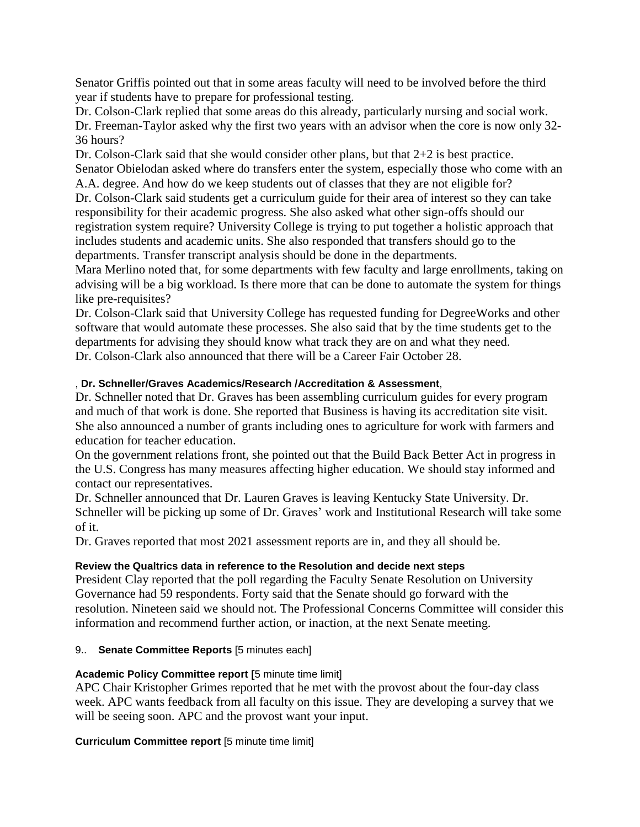Senator Griffis pointed out that in some areas faculty will need to be involved before the third year if students have to prepare for professional testing.

Dr. Colson-Clark replied that some areas do this already, particularly nursing and social work. Dr. Freeman-Taylor asked why the first two years with an advisor when the core is now only 32- 36 hours?

Dr. Colson-Clark said that she would consider other plans, but that 2+2 is best practice. Senator Obielodan asked where do transfers enter the system, especially those who come with an A.A. degree. And how do we keep students out of classes that they are not eligible for?

Dr. Colson-Clark said students get a curriculum guide for their area of interest so they can take responsibility for their academic progress. She also asked what other sign-offs should our registration system require? University College is trying to put together a holistic approach that includes students and academic units. She also responded that transfers should go to the departments. Transfer transcript analysis should be done in the departments.

Mara Merlino noted that, for some departments with few faculty and large enrollments, taking on advising will be a big workload. Is there more that can be done to automate the system for things like pre-requisites?

Dr. Colson-Clark said that University College has requested funding for DegreeWorks and other software that would automate these processes. She also said that by the time students get to the departments for advising they should know what track they are on and what they need. Dr. Colson-Clark also announced that there will be a Career Fair October 28.

## , **Dr. Schneller/Graves Academics/Research /Accreditation & Assessment**,

Dr. Schneller noted that Dr. Graves has been assembling curriculum guides for every program and much of that work is done. She reported that Business is having its accreditation site visit. She also announced a number of grants including ones to agriculture for work with farmers and education for teacher education.

On the government relations front, she pointed out that the Build Back Better Act in progress in the U.S. Congress has many measures affecting higher education. We should stay informed and contact our representatives.

Dr. Schneller announced that Dr. Lauren Graves is leaving Kentucky State University. Dr. Schneller will be picking up some of Dr. Graves' work and Institutional Research will take some of it.

Dr. Graves reported that most 2021 assessment reports are in, and they all should be.

# **Review the Qualtrics data in reference to the Resolution and decide next steps**

President Clay reported that the poll regarding the Faculty Senate Resolution on University Governance had 59 respondents. Forty said that the Senate should go forward with the resolution. Nineteen said we should not. The Professional Concerns Committee will consider this information and recommend further action, or inaction, at the next Senate meeting.

## 9.. **Senate Committee Reports** [5 minutes each]

# **Academic Policy Committee report [**5 minute time limit]

APC Chair Kristopher Grimes reported that he met with the provost about the four-day class week. APC wants feedback from all faculty on this issue. They are developing a survey that we will be seeing soon. APC and the provost want your input.

**Curriculum Committee report** [5 minute time limit]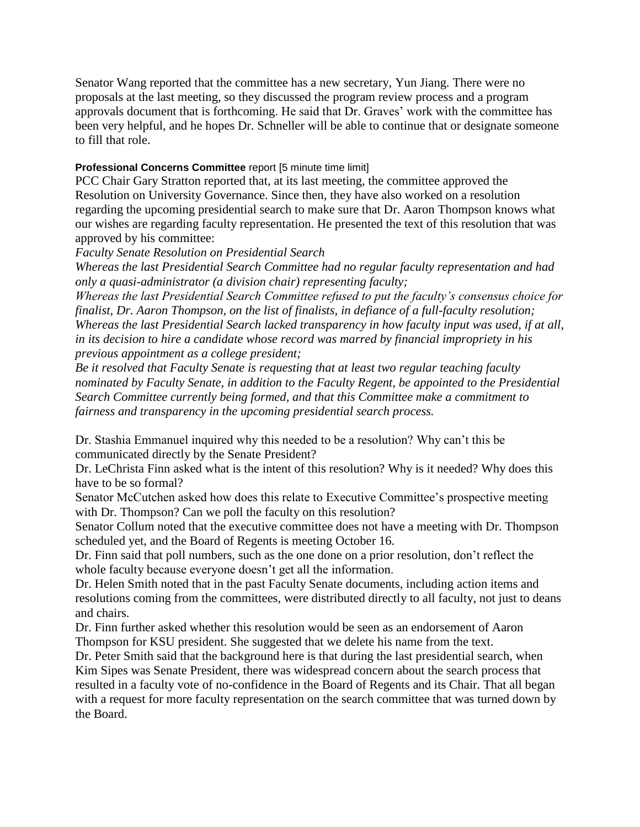Senator Wang reported that the committee has a new secretary, Yun Jiang. There were no proposals at the last meeting, so they discussed the program review process and a program approvals document that is forthcoming. He said that Dr. Graves' work with the committee has been very helpful, and he hopes Dr. Schneller will be able to continue that or designate someone to fill that role.

## **Professional Concerns Committee** report [5 minute time limit]

PCC Chair Gary Stratton reported that, at its last meeting, the committee approved the Resolution on University Governance. Since then, they have also worked on a resolution regarding the upcoming presidential search to make sure that Dr. Aaron Thompson knows what our wishes are regarding faculty representation. He presented the text of this resolution that was approved by his committee:

*Faculty Senate Resolution on Presidential Search*

*Whereas the last Presidential Search Committee had no regular faculty representation and had only a quasi-administrator (a division chair) representing faculty;*

*Whereas the last Presidential Search Committee refused to put the faculty's consensus choice for finalist, Dr. Aaron Thompson, on the list of finalists, in defiance of a full-faculty resolution; Whereas the last Presidential Search lacked transparency in how faculty input was used, if at all, in its decision to hire a candidate whose record was marred by financial impropriety in his previous appointment as a college president;*

*Be it resolved that Faculty Senate is requesting that at least two regular teaching faculty nominated by Faculty Senate, in addition to the Faculty Regent, be appointed to the Presidential Search Committee currently being formed, and that this Committee make a commitment to fairness and transparency in the upcoming presidential search process.*

Dr. Stashia Emmanuel inquired why this needed to be a resolution? Why can't this be communicated directly by the Senate President?

Dr. LeChrista Finn asked what is the intent of this resolution? Why is it needed? Why does this have to be so formal?

Senator McCutchen asked how does this relate to Executive Committee's prospective meeting with Dr. Thompson? Can we poll the faculty on this resolution?

Senator Collum noted that the executive committee does not have a meeting with Dr. Thompson scheduled yet, and the Board of Regents is meeting October 16.

Dr. Finn said that poll numbers, such as the one done on a prior resolution, don't reflect the whole faculty because everyone doesn't get all the information.

Dr. Helen Smith noted that in the past Faculty Senate documents, including action items and resolutions coming from the committees, were distributed directly to all faculty, not just to deans and chairs.

Dr. Finn further asked whether this resolution would be seen as an endorsement of Aaron Thompson for KSU president. She suggested that we delete his name from the text.

Dr. Peter Smith said that the background here is that during the last presidential search, when Kim Sipes was Senate President, there was widespread concern about the search process that resulted in a faculty vote of no-confidence in the Board of Regents and its Chair. That all began with a request for more faculty representation on the search committee that was turned down by the Board.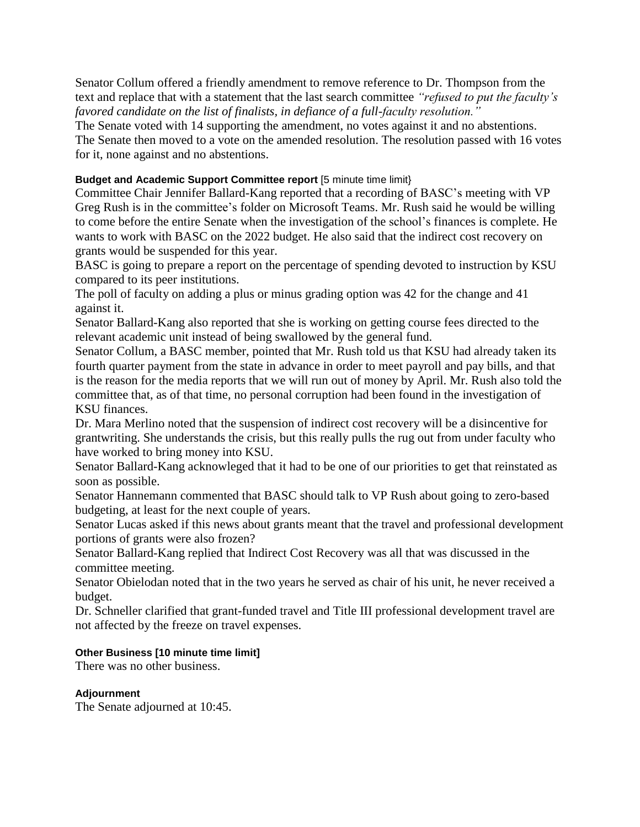Senator Collum offered a friendly amendment to remove reference to Dr. Thompson from the text and replace that with a statement that the last search committee *"refused to put the faculty's favored candidate on the list of finalists, in defiance of a full-faculty resolution."*

The Senate voted with 14 supporting the amendment, no votes against it and no abstentions. The Senate then moved to a vote on the amended resolution. The resolution passed with 16 votes for it, none against and no abstentions.

## **Budget and Academic Support Committee report** [5 minute time limit}

Committee Chair Jennifer Ballard-Kang reported that a recording of BASC's meeting with VP Greg Rush is in the committee's folder on Microsoft Teams. Mr. Rush said he would be willing to come before the entire Senate when the investigation of the school's finances is complete. He wants to work with BASC on the 2022 budget. He also said that the indirect cost recovery on grants would be suspended for this year.

BASC is going to prepare a report on the percentage of spending devoted to instruction by KSU compared to its peer institutions.

The poll of faculty on adding a plus or minus grading option was 42 for the change and 41 against it.

Senator Ballard-Kang also reported that she is working on getting course fees directed to the relevant academic unit instead of being swallowed by the general fund.

Senator Collum, a BASC member, pointed that Mr. Rush told us that KSU had already taken its fourth quarter payment from the state in advance in order to meet payroll and pay bills, and that is the reason for the media reports that we will run out of money by April. Mr. Rush also told the committee that, as of that time, no personal corruption had been found in the investigation of KSU finances.

Dr. Mara Merlino noted that the suspension of indirect cost recovery will be a disincentive for grantwriting. She understands the crisis, but this really pulls the rug out from under faculty who have worked to bring money into KSU.

Senator Ballard-Kang acknowleged that it had to be one of our priorities to get that reinstated as soon as possible.

Senator Hannemann commented that BASC should talk to VP Rush about going to zero-based budgeting, at least for the next couple of years.

Senator Lucas asked if this news about grants meant that the travel and professional development portions of grants were also frozen?

Senator Ballard-Kang replied that Indirect Cost Recovery was all that was discussed in the committee meeting.

Senator Obielodan noted that in the two years he served as chair of his unit, he never received a budget.

Dr. Schneller clarified that grant-funded travel and Title III professional development travel are not affected by the freeze on travel expenses.

## **Other Business [10 minute time limit]**

There was no other business.

## **Adjournment**

The Senate adjourned at 10:45.